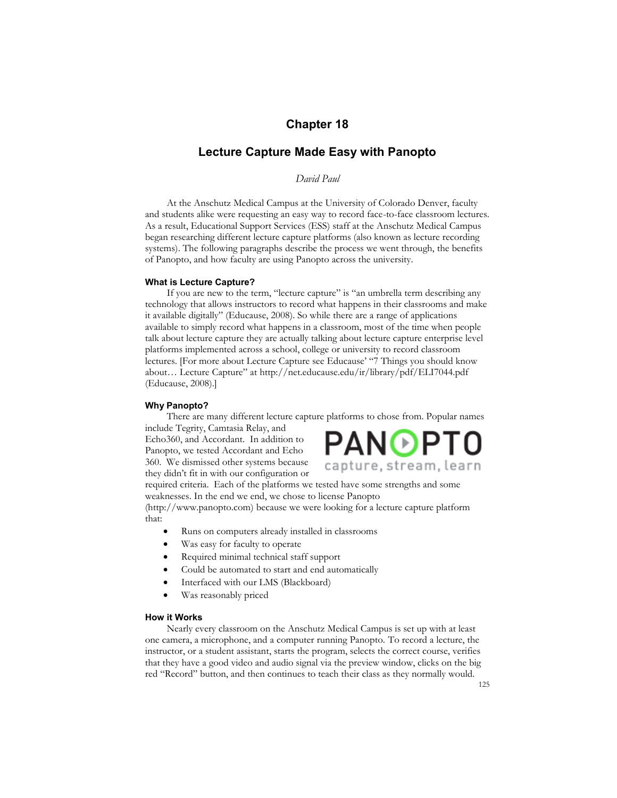# **Chapter 18**

# **Lecture Capture Made Easy with Panopto**

*David Paul*

At the Anschutz Medical Campus at the University of Colorado Denver, faculty and students alike were requesting an easy way to record face-to-face classroom lectures. As a result, Educational Support Services (ESS) staff at the Anschutz Medical Campus began researching different lecture capture platforms (also known as lecture recording systems). The following paragraphs describe the process we went through, the benefits of Panopto, and how faculty are using Panopto across the university.

#### **What is Lecture Capture?**

If you are new to the term, "lecture capture" is "an umbrella term describing any technology that allows instructors to record what happens in their classrooms and make it available digitally" (Educause, 2008). So while there are a range of applications available to simply record what happens in a classroom, most of the time when people talk about lecture capture they are actually talking about lecture capture enterprise level platforms implemented across a school, college or university to record classroom lectures. [For more about Lecture Capture see Educause' "7 Things you should know about… Lecture Capture" at http://net.educause.edu/ir/library/pdf/ELI7044.pdf (Educause, 2008).]

#### **Why Panopto?**

There are many different lecture capture platforms to chose from. Popular names include Tegrity, Camtasia Relay, and

Echo360, and Accordant. In addition to Panopto, we tested Accordant and Echo 360. We dismissed other systems because they didn't fit in with our configuration or



required criteria. Each of the platforms we tested have some strengths and some weaknesses. In the end we end, we chose to license Panopto

(http://www.panopto.com) because we were looking for a lecture capture platform that:

- Runs on computers already installed in classrooms
- Was easy for faculty to operate
- Required minimal technical staff support
- Could be automated to start and end automatically
- Interfaced with our LMS (Blackboard)
- Was reasonably priced

### **How it Works**

Nearly every classroom on the Anschutz Medical Campus is set up with at least one camera, a microphone, and a computer running Panopto. To record a lecture, the instructor, or a student assistant, starts the program, selects the correct course, verifies that they have a good video and audio signal via the preview window, clicks on the big red "Record" button, and then continues to teach their class as they normally would.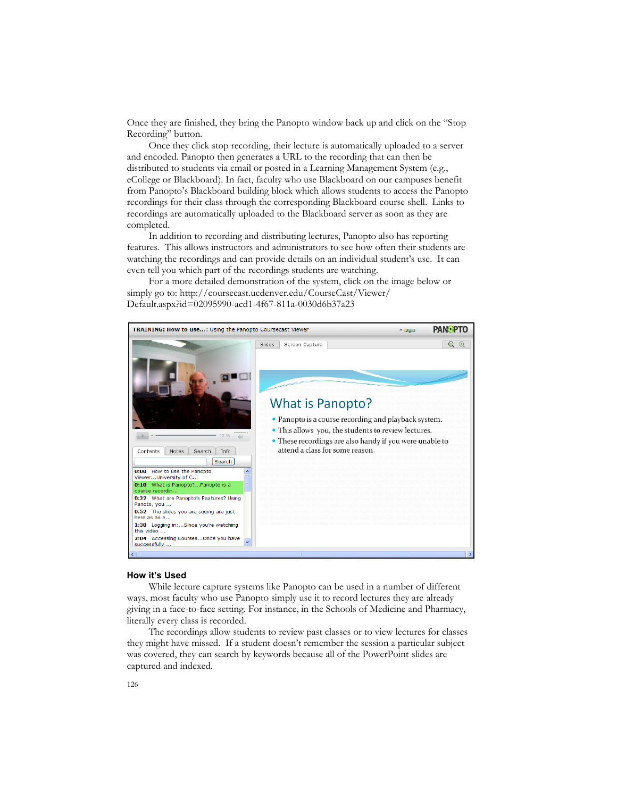Once they are finished, they bring the Panopto window back up and click on the "Stop Recording" button.

Once they click stop recording, their lecture is automatically uploaded to a server and encoded. Panopto then generates a URL to the recording that can then be distributed to students via email or posted in a Learning Management System (e.g., eCollege or Blackboard). In fact, faculty who use Blackboard on our campuses benefit from Panopto's Blackboard building block which allows students to access the Panopto recordings for their class through the corresponding Blackboard course shell. Links to recordings are automatically uploaded to the Blackboard server as soon as they are completed.

In addition to recording and distributing lectures, Panopto also has reporting features. This allows instructors and administrators to see how often their students are watching the recordings and can provide details on an individual student's use. It can even tell you which part of the recordings students are watching.

For a more detailed demonstration of the system, click on the image below or simply go to: http://coursecast.ucdenver.edu/CourseCast/Viewer/ Default.aspx?id=02095990-acd1-4f67-811a-0030d6b37a23



#### **How it's Used**

While lecture capture systems like Panopto can be used in a number of different ways, most faculty who use Panopto simply use it to record lectures they are already giving in a face-to-face setting. For instance, in the Schools of Medicine and Pharmacy, literally every class is recorded.

The recordings allow students to review past classes or to view lectures for classes they might have missed. If a student doesn't remember the session a particular subject was covered, they can search by keywords because all of the PowerPoint slides are captured and indexed.